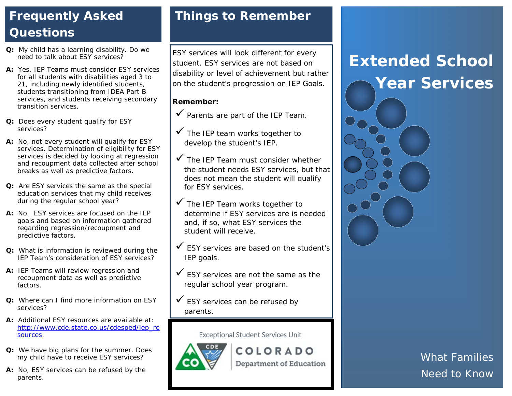## **Frequently Asked Questions**

- **Q:** My child has a learning disability. Do we need to talk about ESY services?
- **A:** Yes, IEP Teams must consider ESY services for all students with disabilities aged 3 to 21, including newly identified students, students transitioning from IDEA Part B services, and students receiving secondary transition services.
- **Q:** Does every student qualify for ESY services?
- **A:** No, not every student will qualify for ESY services. Determination of eligibility for ESY services is decided by looking at regression and recoupment data collected after school breaks as well as predictive factors.
- **Q:** Are ESY services the same as the special education services that my child receives during the regular school year?
- **A:** No. ESY services are focused on the IEP goals and based on information gathered regarding regression/recoupment and predictive factors.
- **Q:** What is information is reviewed during the IEP Team's consideration of ESY services?
- **A:** IEP Teams will review regression and recoupment data as well as predictive factors.
- **Q:** Where can I find more information on ESY services?
- **A:** Additional ESY resources are available at: [http://www.cde.state.co.us/cdesped/iep\\_re](http://www.cde.state.co.us/cdesped/iep_resources) [sources](http://www.cde.state.co.us/cdesped/iep_resources)
- **Q:** We have big plans for the summer. Does my child have to receive ESY services?
- **A:** No, ESY services can be refused by the parents.

### **Things to Remember**

ESY services will look different for every student. ESY services are not based on disability or level of achievement but rather on the student's progression on IEP Goals.

#### **Remember:**

- $\checkmark$  Parents are part of the IEP Team.
- $\checkmark$  The IEP team works together to develop the student's IEP.
- $\checkmark$  The IEP Team must consider whether the student needs ESY services, but that does not mean the student will qualify for ESY services.
- $\checkmark$  The IEP Team works together to determine if ESY services are is needed and, if so, what ESY services the student will receive.
- $\checkmark$  ESY services are based on the student's IEP goals.
- $\checkmark$  ESY services are not the same as the regular school year program.
- $\checkmark$  ESY services can be refused by parents.

Exceptional Student Services Unit



COLORADO **Department of Education** 

# **Extended School Year Services**



*What Families Need to Know*